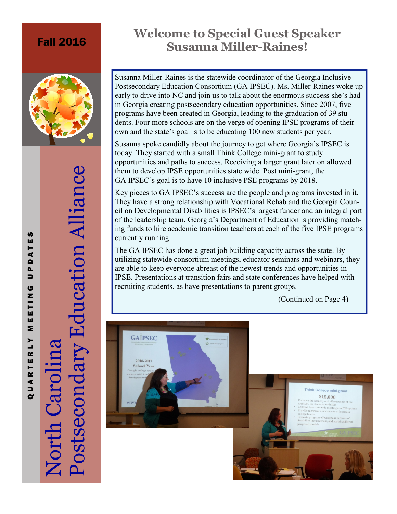### Fall 2016



# Postsecondary Education Alliance Postsecondary Education Alliance North Carolina

## **Welcome to Special Guest Speaker Susanna Miller-Raines!**

Susanna Miller-Raines is the statewide coordinator of the Georgia Inclusive Postsecondary Education Consortium (GA IPSEC). Ms. Miller-Raines woke up early to drive into NC and join us to talk about the enormous success she's had in Georgia creating postsecondary education opportunities. Since 2007, five programs have been created in Georgia, leading to the graduation of 39 students. Four more schools are on the verge of opening IPSE programs of their own and the state's goal is to be educating 100 new students per year.

Susanna spoke candidly about the journey to get where Georgia's IPSEC is today. They started with a small Think College mini-grant to study opportunities and paths to success. Receiving a larger grant later on allowed them to develop IPSE opportunities state wide. Post mini-grant, the GA IPSEC's goal is to have 10 inclusive PSE programs by 2018.

Key pieces to GA IPSEC's success are the people and programs invested in it. They have a strong relationship with Vocational Rehab and the Georgia Council on Developmental Disabilities is IPSEC's largest funder and an integral part of the leadership team. Georgia's Department of Education is providing matching funds to hire academic transition teachers at each of the five IPSE programs currently running.

The GA IPSEC has done a great job building capacity across the state. By utilizing statewide consortium meetings, educator seminars and webinars, they are able to keep everyone abreast of the newest trends and opportunities in IPSE. Presentations at transition fairs and state conferences have helped with recruiting students, as have presentations to parent groups.

(Continued on Page 4)



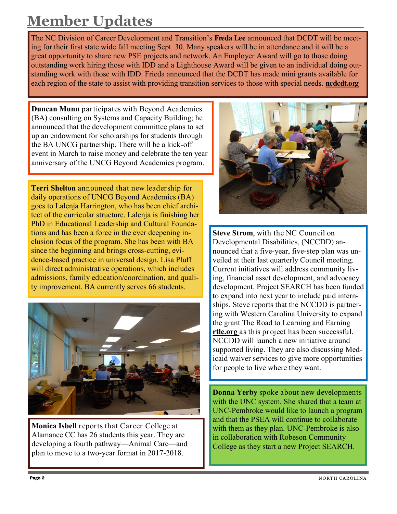## **Member Updates**

The NC Division of Career Development and Transition's **Freda Lee** announced that DCDT will be meeting for their first state wide fall meeting Sept. 30. Many speakers will be in attendance and it will be a great opportunity to share new PSE projects and network. An Employer Award will go to those doing outstanding work hiring those with IDD and a Lighthouse Award will be given to an individual doing outstanding work with those with IDD. Frieda announced that the DCDT has made mini grants available for each region of the state to assist with providing transition services to those with special needs. **ncdcdt.org**

**Duncan Munn** participates with Beyond Academics (BA) consulting on Systems and Capacity Building; he announced that the development committee plans to set up an endowment for scholarships for students through the BA UNCG partnership. There will be a kick-off event in March to raise money and celebrate the ten year anniversary of the UNCG Beyond Academics program.

**Terri Shelton** announced that new leadership for daily operations of UNCG Beyond Academics (BA) goes to Lalenja Harrington, who has been chief architect of the curricular structure. Lalenja is finishing her PhD in Educational Leadership and Cultural Foundations and has been a force in the ever deepening inclusion focus of the program. She has been with BA since the beginning and brings cross-cutting, evidence-based practice in universal design. Lisa Pluff will direct administrative operations, which includes admissions, family education/coordination, and quality improvement. BA currently serves 66 students.



**Monica Isbell** reports that Career College at Alamance CC has 26 students this year. They are developing a fourth pathway—Animal Care—and plan to move to a two-year format in 2017-2018.



**Steve Strom**, with the NC Council on Developmental Disabilities, (NCCDD) announced that a five-year, five-step plan was unveiled at their last quarterly Council meeting. Current initiatives will address community living, financial asset development, and advocacy development. Project SEARCH has been funded to expand into next year to include paid internships. Steve reports that the NCCDD is partnering with Western Carolina University to expand the grant The Road to Learning and Earning **rtle.org** as this project has been successful. NCCDD will launch a new initiative around supported living. They are also discussing Medicaid waiver services to give more opportunities for people to live where they want.

**Donna Yerby** spoke about new developments with the UNC system. She shared that a team at UNC-Pembroke would like to launch a program and that the PSEA will continue to collaborate with them as they plan. UNC-Pembroke is also in collaboration with Robeson Community College as they start a new Project SEARCH.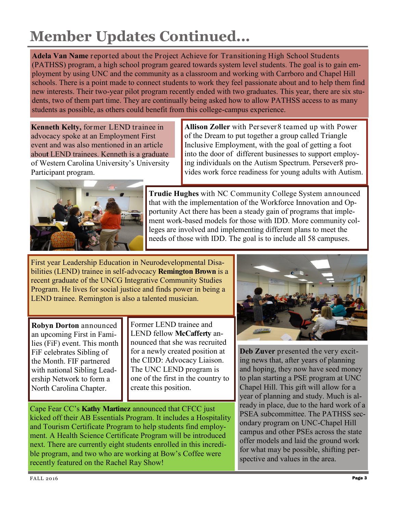# **Member Updates Continued...**

**Adela Van Name** reported about the Project Achieve for Transitioning High School Students (PATHSS) program, a high school program geared towards system level students. The goal is to gain employment by using UNC and the community as a classroom and working with Carrboro and Chapel Hill schools. There is a point made to connect students to work they feel passionate about and to help them find new interests. Their two-year pilot program recently ended with two graduates. This year, there are six students, two of them part time. They are continually being asked how to allow PATHSS access to as many students as possible, as others could benefit from this college-campus experience.

**Kenneth Kelty,** former LEND trainee in advocacy spoke at an Employment First event and was also mentioned in an article abou**t** LEND trainees. Kenneth is a graduate of Western Carolina University's University Participant program.

**Allison Zoller** with Persever8 teamed up with Power of the Dream to put together a group called Triangle Inclusive Employment, with the goal of getting a foot into the door of different businesses to support employing individuals on the Autism Spectrum. Persever8 provides work force readiness for young adults with Autism.



**Trudie Hughes** with NC Community College System announced that with the implementation of the Workforce Innovation and Opportunity Act there has been a steady gain of programs that implement work-based models for those with IDD. More community colleges are involved and implementing different plans to meet the needs of those with IDD. The goal is to include all 58 campuses.

First year Leadership Education in Neurodevelopmental Disabilities (LEND) trainee in self-advocacy **Remington Brown** is a recent graduate of the UNCG Integrative Community Studies Program. He lives for social justice and finds power in being a LEND trainee. Remington is also a talented musician.

**Robyn Dorton** announced an upcoming First in Families (FiF) event. This month FiF celebrates Sibling of the Month. FIF partnered with national Sibling Leadership Network to form a North Carolina Chapter.

Former LEND trainee and LEND fellow **McCafferty** announced that she was recruited for a newly created position at the CIDD: Advocacy Liaison. The UNC LEND program is one of the first in the country to create this position.

Cape Fear CC's **Kathy Martinez** announced that CFCC just kicked off their AB Essentials Program. It includes a Hospitality and Tourism Certificate Program to help students find employment. A Health Science Certificate Program will be introduced next. There are currently eight students enrolled in this incredible program, and two who are working at Bow's Coffee were recently featured on the Rachel Ray Show!



**Deb Zuver** presented the very exciting news that, after years of planning and hoping, they now have seed money to plan starting a PSE program at UNC Chapel Hill. This gift will allow for a year of planning and study. Much is already in place, due to the hard work of a PSEA subcommittee. The PATHSS secondary program on UNC-Chapel Hill campus and other PSEs across the state offer models and laid the ground work for what may be possible, shifting perspective and values in the area.